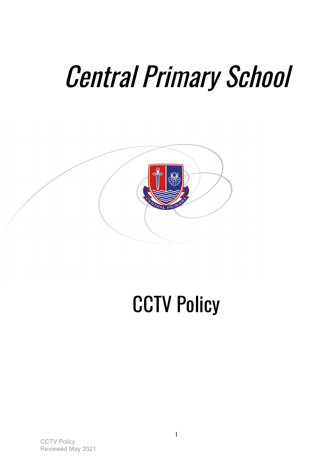# Central Primary School



# **CCTV Policy**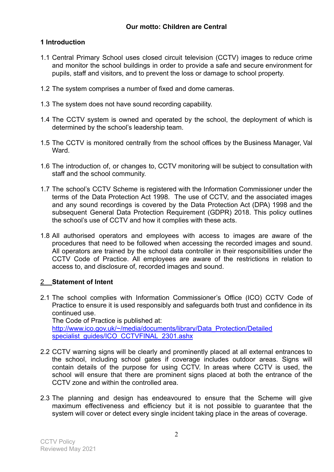## **1 Introduction**

- 1.1 Central Primary School uses closed circuit television (CCTV) images to reduce crime and monitor the school buildings in order to provide a safe and secure environment for pupils, staff and visitors, and to prevent the loss or damage to school property.
- 1.2 The system comprises a number of fixed and dome cameras.
- 1.3 The system does not have sound recording capability.
- 1.4 The CCTV system is owned and operated by the school, the deployment of which is determined by the school's leadership team.
- 1.5 The CCTV is monitored centrally from the school offices by the Business Manager, Val Ward.
- 1.6 The introduction of, or changes to, CCTV monitoring will be subject to consultation with staff and the school community.
- 1.7 The school's CCTV Scheme is registered with the Information Commissioner under the terms of the Data Protection Act 1998. The use of CCTV, and the associated images and any sound recordings is covered by the Data Protection Act (DPA) 1998 and the subsequent General Data Protection Requirement (GDPR) 2018. This policy outlines the school's use of CCTV and how it complies with these acts.
- 1.8 All authorised operators and employees with access to images are aware of the procedures that need to be followed when accessing the recorded images and sound. All operators are trained by the school data controller in their responsibilities under the CCTV Code of Practice. All employees are aware of the restrictions in relation to access to, and disclosure of, recorded images and sound.

### 2 **Statement of Intent**

- 2.1 The school complies with Information Commissioner's Office (ICO) CCTV Code of Practice to ensure it is used responsibly and safeguards both trust and confidence in its continued use. The Code of Practice is published at: [http://www.ico.gov.uk/~/media/documents/library/Data\\_Protection/Detailed](http://www.ico.gov.uk/~/media/documents/library/Data_Protection/Detailed%20specialist_guides/ICO_CCTVFINAL_2301.ashx) specialist\_quides/ICO\_CCTVFINAL\_2301.ashx
- 2.2 CCTV warning signs will be clearly and prominently placed at all external entrances to the school, including school gates if coverage includes outdoor areas. Signs will contain details of the purpose for using CCTV. In areas where CCTV is used, the school will ensure that there are prominent signs placed at both the entrance of the CCTV zone and within the controlled area.
- 2.3 The planning and design has endeavoured to ensure that the Scheme will give maximum effectiveness and efficiency but it is not possible to guarantee that the system will cover or detect every single incident taking place in the areas of coverage.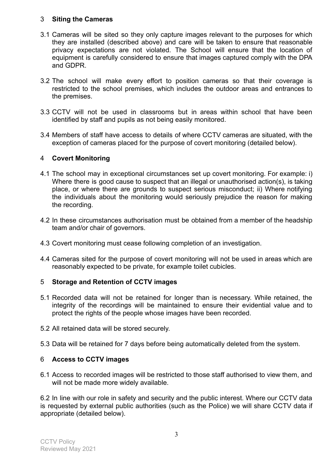### 3 **Siting the Cameras**

- 3.1 Cameras will be sited so they only capture images relevant to the purposes for which they are installed (described above) and care will be taken to ensure that reasonable privacy expectations are not violated. The School will ensure that the location of equipment is carefully considered to ensure that images captured comply with the DPA and GDPR.
- 3.2 The school will make every effort to position cameras so that their coverage is restricted to the school premises, which includes the outdoor areas and entrances to the premises.
- 3.3 CCTV will not be used in classrooms but in areas within school that have been identified by staff and pupils as not being easily monitored.
- 3.4 Members of staff have access to details of where CCTV cameras are situated, with the exception of cameras placed for the purpose of covert monitoring (detailed below).

#### 4 **Covert Monitoring**

- 4.1 The school may in exceptional circumstances set up covert monitoring. For example: i) Where there is good cause to suspect that an illegal or unauthorised action(s), is taking place, or where there are grounds to suspect serious misconduct; ii) Where notifying the individuals about the monitoring would seriously prejudice the reason for making the recording.
- 4.2 In these circumstances authorisation must be obtained from a member of the headship team and/or chair of governors.
- 4.3 Covert monitoring must cease following completion of an investigation.
- 4.4 Cameras sited for the purpose of covert monitoring will not be used in areas which are reasonably expected to be private, for example toilet cubicles.

### 5 **Storage and Retention of CCTV images**

- 5.1 Recorded data will not be retained for longer than is necessary. While retained, the integrity of the recordings will be maintained to ensure their evidential value and to protect the rights of the people whose images have been recorded.
- 5.2 All retained data will be stored securely.
- 5.3 Data will be retained for 7 days before being automatically deleted from the system.

### 6 **Access to CCTV images**

6.1 Access to recorded images will be restricted to those staff authorised to view them, and will not be made more widely available.

6.2 In line with our role in safety and security and the public interest. Where our CCTV data is requested by external public authorities (such as the Police) we will share CCTV data if appropriate (detailed below).